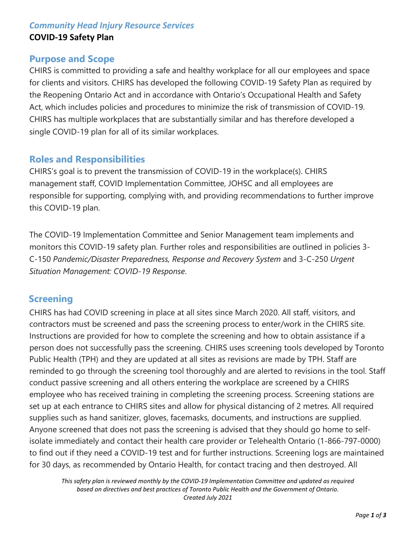#### *Community Head Injury Resource Services* **COVID-19 Safety Plan**

### **Purpose and Scope**

CHIRS is committed to providing a safe and healthy workplace for all our employees and space for clients and visitors. CHIRS has developed the following COVID-19 Safety Plan as required by the Reopening Ontario Act and in accordance with Ontario's Occupational Health and Safety Act, which includes policies and procedures to minimize the risk of transmission of COVID-19. CHIRS has multiple workplaces that are substantially similar and has therefore developed a single COVID-19 plan for all of its similar workplaces.

## **Roles and Responsibilities**

CHIRS's goal is to prevent the transmission of COVID-19 in the workplace(s). CHIRS management staff, COVID Implementation Committee, JOHSC and all employees are responsible for supporting, complying with, and providing recommendations to further improve this COVID-19 plan.

The COVID-19 Implementation Committee and Senior Management team implements and monitors this COVID-19 safety plan. Further roles and responsibilities are outlined in policies 3- C-150 *Pandemic/Disaster Preparedness, Response and Recovery System* and 3-C-250 *Urgent Situation Management: COVID-19 Response*.

## **Screening**

CHIRS has had COVID screening in place at all sites since March 2020. All staff, visitors, and contractors must be screened and pass the screening process to enter/work in the CHIRS site. Instructions are provided for how to complete the screening and how to obtain assistance if a person does not successfully pass the screening. CHIRS uses screening tools developed by Toronto Public Health (TPH) and they are updated at all sites as revisions are made by TPH. Staff are reminded to go through the screening tool thoroughly and are alerted to revisions in the tool. Staff conduct passive screening and all others entering the workplace are screened by a CHIRS employee who has received training in completing the screening process. Screening stations are set up at each entrance to CHIRS sites and allow for physical distancing of 2 metres. All required supplies such as hand sanitizer, gloves, facemasks, documents, and instructions are supplied. Anyone screened that does not pass the screening is advised that they should go home to selfisolate immediately and contact their health care provider or Telehealth Ontario (1-866-797-0000) to find out if they need a COVID-19 test and for further instructions. Screening logs are maintained for 30 days, as recommended by Ontario Health, for contact tracing and then destroyed. All

*This safety plan is reviewed monthly by the COVID-19 Implementation Committee and updated as required based on directives and best practices of Toronto Public Health and the Government of Ontario. Created July 2021*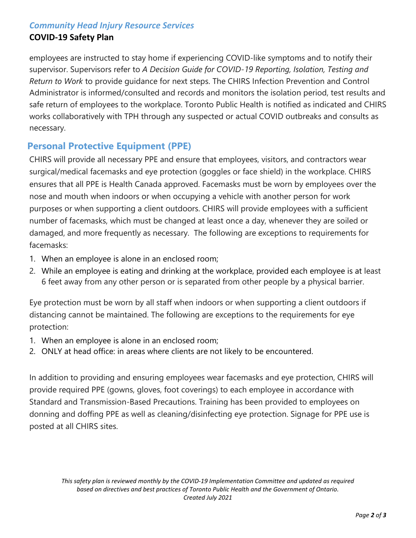# *Community Head Injury Resource Services*

## **COVID-19 Safety Plan**

employees are instructed to stay home if experiencing COVID-like symptoms and to notify their supervisor. Supervisors refer to *A Decision Guide for COVID-19 Reporting, Isolation, Testing and Return to Work* to provide guidance for next steps. The CHIRS Infection Prevention and Control Administrator is informed/consulted and records and monitors the isolation period, test results and safe return of employees to the workplace. Toronto Public Health is notified as indicated and CHIRS works collaboratively with TPH through any suspected or actual COVID outbreaks and consults as necessary.

# **Personal Protective Equipment (PPE)**

CHIRS will provide all necessary PPE and ensure that employees, visitors, and contractors wear surgical/medical facemasks and eye protection (goggles or face shield) in the workplace. CHIRS ensures that all PPE is Health Canada approved. Facemasks must be worn by employees over the nose and mouth when indoors or when occupying a vehicle with another person for work purposes or when supporting a client outdoors. CHIRS will provide employees with a sufficient number of facemasks, which must be changed at least once a day, whenever they are soiled or damaged, and more frequently as necessary. The following are exceptions to requirements for facemasks:

- 1. When an employee is alone in an enclosed room;
- 2. While an employee is eating and drinking at the workplace, provided each employee is at least 6 feet away from any other person or is separated from other people by a physical barrier.

Eye protection must be worn by all staff when indoors or when supporting a client outdoors if distancing cannot be maintained. The following are exceptions to the requirements for eye protection:

- 1. When an employee is alone in an enclosed room;
- 2. ONLY at head office: in areas where clients are not likely to be encountered.

In addition to providing and ensuring employees wear facemasks and eye protection, CHIRS will provide required PPE (gowns, gloves, foot coverings) to each employee in accordance with Standard and Transmission-Based Precautions. Training has been provided to employees on donning and doffing PPE as well as cleaning/disinfecting eye protection. Signage for PPE use is posted at all CHIRS sites.